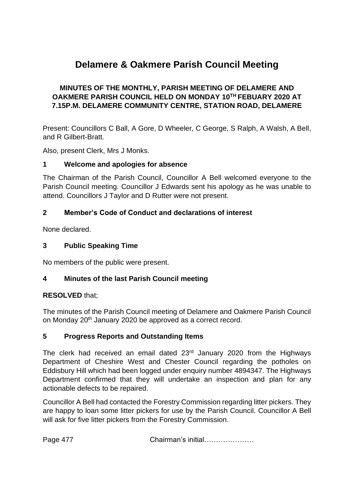# **Delamere & Oakmere Parish Council Meeting**

## **MINUTES OF THE MONTHLY, PARISH MEETING OF DELAMERE AND OAKMERE PARISH COUNCIL HELD ON MONDAY 10TH FEBUARY 2020 AT 7.15P.M. DELAMERE COMMUNITY CENTRE, STATION ROAD, DELAMERE**

Present: Councillors C Ball, A Gore, D Wheeler, C George, S Ralph, A Walsh, A Bell, and R Gilbert-Bratt.

Also, present Clerk, Mrs J Monks.

#### **1 Welcome and apologies for absence**

The Chairman of the Parish Council, Councillor A Bell welcomed everyone to the Parish Council meeting. Councillor J Edwards sent his apology as he was unable to attend. Councillors J Taylor and D Rutter were not present.

## **2 Member's Code of Conduct and declarations of interest**

None declared.

### **3 Public Speaking Time**

No members of the public were present.

## **4 Minutes of the last Parish Council meeting**

## **RESOLVED** that;

The minutes of the Parish Council meeting of Delamere and Oakmere Parish Council on Monday 20th January 2020 be approved as a correct record.

#### **5 Progress Reports and Outstanding Items**

The clerk had received an email dated 23<sup>rd</sup> January 2020 from the Highways Department of Cheshire West and Chester Council regarding the potholes on Eddisbury Hill which had been logged under enquiry number 4894347. The Highways Department confirmed that they will undertake an inspection and plan for any actionable defects to be repaired.

Councillor A Bell had contacted the Forestry Commission regarding litter pickers. They are happy to loan some litter pickers for use by the Parish Council. Councillor A Bell will ask for five litter pickers from the Forestry Commission.

Page 477 Chairman's initial…………………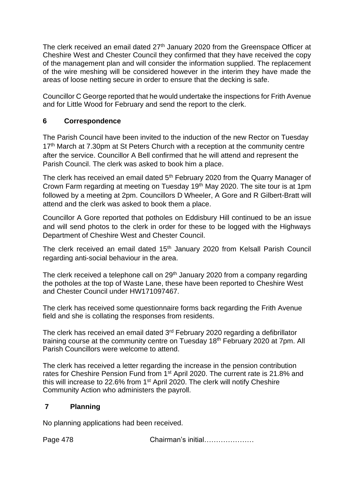The clerk received an email dated 27<sup>th</sup> January 2020 from the Greenspace Officer at Cheshire West and Chester Council they confirmed that they have received the copy of the management plan and will consider the information supplied. The replacement of the wire meshing will be considered however in the interim they have made the areas of loose netting secure in order to ensure that the decking is safe.

Councillor C George reported that he would undertake the inspections for Frith Avenue and for Little Wood for February and send the report to the clerk.

# **6 Correspondence**

The Parish Council have been invited to the induction of the new Rector on Tuesday 17<sup>th</sup> March at 7.30pm at St Peters Church with a reception at the community centre after the service. Councillor A Bell confirmed that he will attend and represent the Parish Council. The clerk was asked to book him a place.

The clerk has received an email dated 5<sup>th</sup> February 2020 from the Quarry Manager of Crown Farm regarding at meeting on Tuesday 19th May 2020. The site tour is at 1pm followed by a meeting at 2pm. Councillors D Wheeler, A Gore and R Gilbert-Bratt will attend and the clerk was asked to book them a place.

Councillor A Gore reported that potholes on Eddisbury Hill continued to be an issue and will send photos to the clerk in order for these to be logged with the Highways Department of Cheshire West and Chester Council.

The clerk received an email dated 15<sup>th</sup> January 2020 from Kelsall Parish Council regarding anti-social behaviour in the area.

The clerk received a telephone call on 29<sup>th</sup> January 2020 from a company regarding the potholes at the top of Waste Lane, these have been reported to Cheshire West and Chester Council under HW171097467.

The clerk has received some questionnaire forms back regarding the Frith Avenue field and she is collating the responses from residents.

The clerk has received an email dated 3<sup>rd</sup> February 2020 regarding a defibrillator training course at the community centre on Tuesday 18th February 2020 at 7pm. All Parish Councillors were welcome to attend.

The clerk has received a letter regarding the increase in the pension contribution rates for Cheshire Pension Fund from 1<sup>st</sup> April 2020. The current rate is 21.8% and this will increase to 22.6% from 1<sup>st</sup> April 2020. The clerk will notify Cheshire Community Action who administers the payroll.

# **7 Planning**

No planning applications had been received.

Page 478 Chairman's initial…………………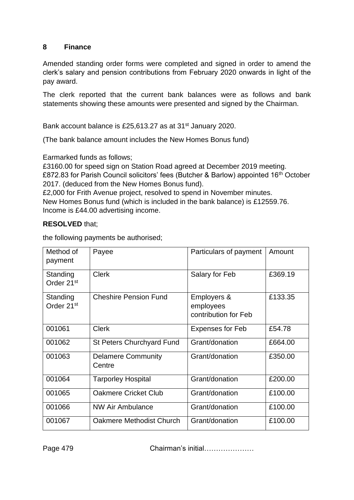## **8 Finance**

Amended standing order forms were completed and signed in order to amend the clerk's salary and pension contributions from February 2020 onwards in light of the pay award.

The clerk reported that the current bank balances were as follows and bank statements showing these amounts were presented and signed by the Chairman.

Bank account balance is £25,613.27 as at 31<sup>st</sup> January 2020.

(The bank balance amount includes the New Homes Bonus fund)

Earmarked funds as follows;

£3160.00 for speed sign on Station Road agreed at December 2019 meeting. £872.83 for Parish Council solicitors' fees (Butcher & Barlow) appointed 16<sup>th</sup> October 2017. (deduced from the New Homes Bonus fund).

£2,000 for Frith Avenue project, resolved to spend in November minutes.

New Homes Bonus fund (which is included in the bank balance) is £12559.76. Income is £44.00 advertising income.

## **RESOLVED** that;

the following payments be authorised;

| Method of<br>payment               | Payee                               | Particulars of payment                           | Amount  |
|------------------------------------|-------------------------------------|--------------------------------------------------|---------|
| Standing<br>Order 21 <sup>st</sup> | <b>Clerk</b>                        | Salary for Feb                                   | £369.19 |
| Standing<br>Order 21 <sup>st</sup> | <b>Cheshire Pension Fund</b>        | Employers &<br>employees<br>contribution for Feb | £133.35 |
| 001061                             | <b>Clerk</b>                        | <b>Expenses for Feb</b>                          | £54.78  |
| 001062                             | St Peters Churchyard Fund           | Grant/donation                                   | £664.00 |
| 001063                             | <b>Delamere Community</b><br>Centre | Grant/donation                                   | £350.00 |
| 001064                             | <b>Tarporley Hospital</b>           | Grant/donation                                   | £200.00 |
| 001065                             | Oakmere Cricket Club                | Grant/donation                                   | £100.00 |
| 001066                             | <b>NW Air Ambulance</b>             | Grant/donation                                   | £100.00 |
| 001067                             | Oakmere Methodist Church            | Grant/donation                                   | £100.00 |

Page 479 Chairman's initial…………………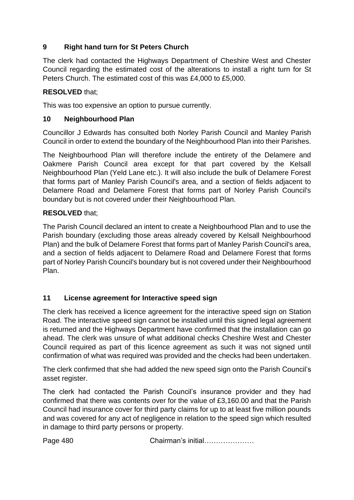# **9 Right hand turn for St Peters Church**

The clerk had contacted the Highways Department of Cheshire West and Chester Council regarding the estimated cost of the alterations to install a right turn for St Peters Church. The estimated cost of this was £4,000 to £5,000.

# **RESOLVED** that;

This was too expensive an option to pursue currently.

## **10 Neighbourhood Plan**

Councillor J Edwards has consulted both Norley Parish Council and Manley Parish Council in order to extend the boundary of the Neighbourhood Plan into their Parishes.

The Neighbourhood Plan will therefore include the entirety of the Delamere and Oakmere Parish Council area except for that part covered by the Kelsall Neighbourhood Plan (Yeld Lane etc.). It will also include the bulk of Delamere Forest that forms part of Manley Parish Council's area, and a section of fields adjacent to Delamere Road and Delamere Forest that forms part of Norley Parish Council's boundary but is not covered under their Neighbourhood Plan.

## **RESOLVED** that;

The Parish Council declared an intent to create a Neighbourhood Plan and to use the Parish boundary (excluding those areas already covered by Kelsall Neighbourhood Plan) and the bulk of Delamere Forest that forms part of Manley Parish Council's area, and a section of fields adjacent to Delamere Road and Delamere Forest that forms part of Norley Parish Council's boundary but is not covered under their Neighbourhood Plan.

## **11 License agreement for Interactive speed sign**

The clerk has received a licence agreement for the interactive speed sign on Station Road. The interactive speed sign cannot be installed until this signed legal agreement is returned and the Highways Department have confirmed that the installation can go ahead. The clerk was unsure of what additional checks Cheshire West and Chester Council required as part of this licence agreement as such it was not signed until confirmation of what was required was provided and the checks had been undertaken.

The clerk confirmed that she had added the new speed sign onto the Parish Council's asset register.

The clerk had contacted the Parish Council's insurance provider and they had confirmed that there was contents over for the value of £3,160.00 and that the Parish Council had insurance cover for third party claims for up to at least five million pounds and was covered for any act of negligence in relation to the speed sign which resulted in damage to third party persons or property.

Page 480 **Chairman's initial………………**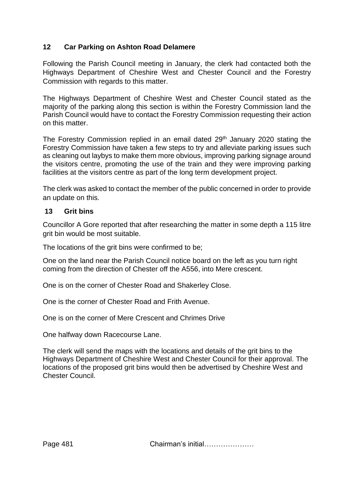## **12 Car Parking on Ashton Road Delamere**

Following the Parish Council meeting in January, the clerk had contacted both the Highways Department of Cheshire West and Chester Council and the Forestry Commission with regards to this matter.

The Highways Department of Cheshire West and Chester Council stated as the majority of the parking along this section is within the Forestry Commission land the Parish Council would have to contact the Forestry Commission requesting their action on this matter.

The Forestry Commission replied in an email dated 29<sup>th</sup> January 2020 stating the Forestry Commission have taken a few steps to try and alleviate parking issues such as cleaning out laybys to make them more obvious, improving parking signage around the visitors centre, promoting the use of the train and they were improving parking facilities at the visitors centre as part of the long term development project.

The clerk was asked to contact the member of the public concerned in order to provide an update on this.

#### **13 Grit bins**

Councillor A Gore reported that after researching the matter in some depth a 115 litre grit bin would be most suitable.

The locations of the grit bins were confirmed to be;

One on the land near the Parish Council notice board on the left as you turn right coming from the direction of Chester off the A556, into Mere crescent.

One is on the corner of Chester Road and Shakerley Close.

One is the corner of Chester Road and Frith Avenue.

One is on the corner of Mere Crescent and Chrimes Drive

One halfway down Racecourse Lane.

The clerk will send the maps with the locations and details of the grit bins to the Highways Department of Cheshire West and Chester Council for their approval. The locations of the proposed grit bins would then be advertised by Cheshire West and Chester Council.

Page 481 **Chairman's initial………………**